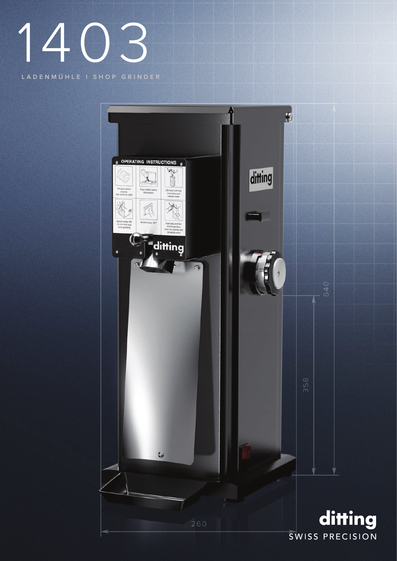## 1403

LADENMÜHLE I SHOP GRINDER